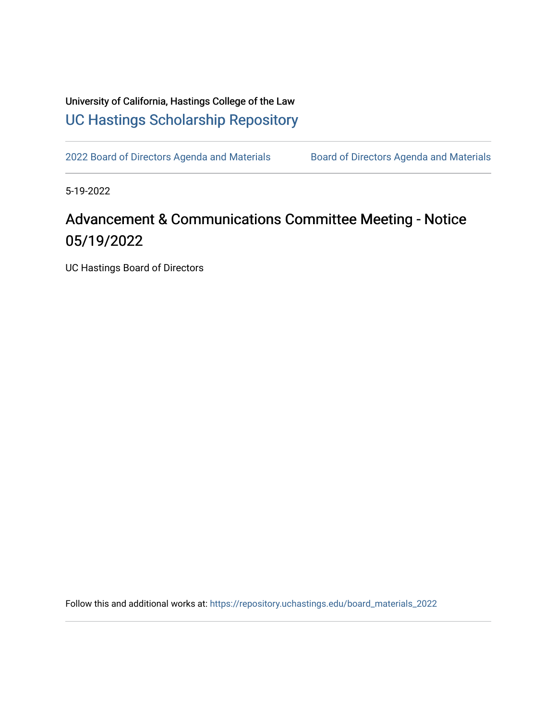## University of California, Hastings College of the Law [UC Hastings Scholarship Repository](https://repository.uchastings.edu/)

[2022 Board of Directors Agenda and Materials](https://repository.uchastings.edu/board_materials_2022) Board of Directors Agenda and Materials

5-19-2022

## Advancement & Communications Committee Meeting - Notice 05/19/2022

UC Hastings Board of Directors

Follow this and additional works at: [https://repository.uchastings.edu/board\\_materials\\_2022](https://repository.uchastings.edu/board_materials_2022?utm_source=repository.uchastings.edu%2Fboard_materials_2022%2F38&utm_medium=PDF&utm_campaign=PDFCoverPages)